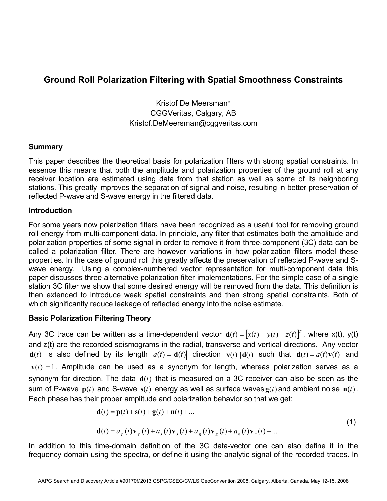# **Ground Roll Polarization Filtering with Spatial Smoothness Constraints**

Kristof De Meersman\* CGGVeritas, Calgary, AB Kristof.DeMeersman@cggveritas.com

# **Summary**

This paper describes the theoretical basis for polarization filters with strong spatial constraints. In essence this means that both the amplitude and polarization properties of the ground roll at any receiver location are estimated using data from that station as well as some of its neighboring stations. This greatly improves the separation of signal and noise, resulting in better preservation of reflected P-wave and S-wave energy in the filtered data.

# **Introduction**

For some years now polarization filters have been recognized as a useful tool for removing ground roll energy from multi-component data. In principle, any filter that estimates both the amplitude and polarization properties of some signal in order to remove it from three-component (3C) data can be called a polarization filter. There are however variations in how polarization filters model these properties. In the case of ground roll this greatly affects the preservation of reflected P-wave and Swave energy. Using a complex-numbered vector representation for multi-component data this paper discusses three alternative polarization filter implementations. For the simple case of a single station 3C filter we show that some desired energy will be removed from the data. This definition is then extended to introduce weak spatial constraints and then strong spatial constraints. Both of which significantly reduce leakage of reflected energy into the noise estimate.

# **Basic Polarization Filtering Theory**

Any 3C trace can be written as a time-dependent vector  $\mathbf{d}(t) = [x(t) \quad y(t) \quad z(t)]^T$ , where x(t), y(t) and z(t) are the recorded seismograms in the radial, transverse and vertical directions. Any vector **d**(*t*) is also defined by its length  $a(t) = |\mathbf{d}(t)|$  direction  $\mathbf{v}(t) || \mathbf{d}(t)$  such that  $\mathbf{d}(t) = a(t)\mathbf{v}(t)$  and  $|{\bf v}(t)|=1$ . Amplitude can be used as a synonym for length, whereas polarization serves as a synonym for direction. The data  $\mathbf{d}(t)$  that is measured on a 3C receiver can also be seen as the sum of P-wave  $p(t)$  and S-wave  $s(t)$  energy as well as surface waves  $g(t)$  and ambient noise  $n(t)$ . Each phase has their proper amplitude and polarization behavior so that we get:

$$
\mathbf{d}(t) = \mathbf{p}(t) + \mathbf{s}(t) + \mathbf{g}(t) + \mathbf{n}(t) + \dots
$$
 (1)

$$
\mathbf{d}(t) = a_p(t)\mathbf{v}_p(t) + a_s(t)\mathbf{v}_s(t) + a_g(t)\mathbf{v}_g(t) + a_n(t)\mathbf{v}_n(t) + \dots
$$

In addition to this time-domain definition of the 3C data-vector one can also define it in the frequency domain using the spectra, or define it using the analytic signal of the recorded traces. In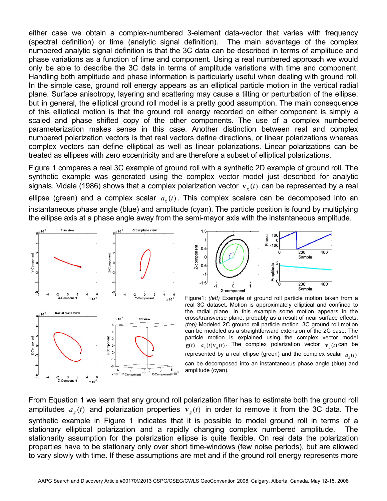either case we obtain a complex-numbered 3-element data-vector that varies with frequency (spectral definition) or time (analytic signal definition). The main advantage of the complex numbered analytic signal definition is that the 3C data can be described in terms of amplitude and phase variations as a function of time and component. Using a real numbered approach we would only be able to describe the 3C data in terms of amplitude variations with time and component. Handling both amplitude and phase information is particularly useful when dealing with ground roll. In the simple case, ground roll energy appears as an elliptical particle motion in the vertical radial plane. Surface anisotropy, layering and scattering may cause a tilting or perturbation of the ellipse, but in general, the elliptical ground roll model is a pretty good assumption. The main consequence of this elliptical motion is that the ground roll energy recorded on either component is simply a scaled and phase shifted copy of the other components. The use of a complex numbered parameterization makes sense in this case. Another distinction between real and complex numbered polarization vectors is that real vectors define directions, or linear polarizations whereas complex vectors can define elliptical as well as linear polarizations. Linear polarizations can be treated as ellipses with zero eccentricity and are therefore a subset of elliptical polarizations.

Figure 1 compares a real 3C example of ground roll with a synthetic 2D example of ground roll. The synthetic example was generated using the complex vector model just described for analytic signals. Vidale (1986) shows that a complex polarization vector  $\mathbf{v}_g(t)$  can be represented by a real ellipse (green) and a complex scalar  $a<sub>e</sub>(t)$ . This complex scalare can be decomposed into an instantaneous phase angle (blue) and amplitude (cyan). The particle position is found by multiplying the ellipse axis at a phase angle away from the semi-mayor axis with the instantaneous amplitude.





Figure1: *(left)* Example of ground roll particle motion taken from a real 3C dataset. Motion is approximately elliptical and confined to the radial plane. In this example some motion appears in the cross/transverse plane, probably as a result of near surface effects. *(top)* Modeled 2C ground roll particle motion. 3C ground roll motion can be modeled as a straightforward extension of the 2C case. The particle motion is explained using the complex vector model  $g(t) = a_e(t)v_e(t)$ . The complex polarization vector  $v_e(t)$  can be represented by a real ellipse (green) and the complex scalar  $q_a(t)$ can be decomposed into an instantaneous phase angle (blue) and amplitude (cyan).

From Equation 1 we learn that any ground roll polarization filter has to estimate both the ground roll amplitudes  $a_g(t)$  and polarization properties  $v_g(t)$  in order to remove it from the 3C data. The synthetic example in Figure 1 indicates that it is possible to model ground roll in terms of a stationary elliptical polarization and a rapidly changing complex numbered amplitude. The stationarity assumption for the polarization ellipse is quite flexible. On real data the polarization properties have to be stationary only over short time-windows (few noise periods), but are allowed to vary slowly with time. If these assumptions are met and if the ground roll energy represents more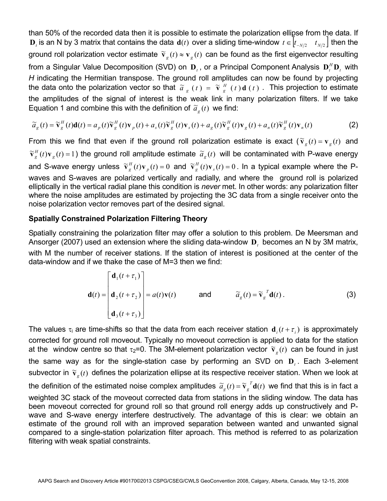than 50% of the recorded data then it is possible to estimate the polarization ellipse from the data. If **D**<sub>t</sub> is an N by 3 matrix that contains the data **d**(*t*) over a sliding time-window  $t \in \left[ t_{-N/2} - t_{N/2} \right]$  then the ground roll polarization vector estimate  $\tilde{v}_g(t) \approx v_g(t)$  can be found as the first eigenvector resulting from a Singular Value Decomposition (SVD) on  $\mathbf{D}_t$ , or a Principal Component Analysis  $\mathbf{D}_t^H \mathbf{D}_t$  with *H* indicating the Hermitian transpose. The ground roll amplitudes can now be found by projecting the data onto the polarization vector so that  $\tilde{a}_g(t) = \tilde{v}_g^H(t) d(t)$ . This projection to estimate the amplitudes of the signal of interest is the weak link in many polarization filters. If we take Equation 1 and combine this with the definition of  $\tilde{a}_g(t)$  we find:

$$
\widetilde{a}_g(t) = \widetilde{\mathbf{v}}_g^H(t)\mathbf{d}(t) = a_p(t)\widetilde{\mathbf{v}}_g^H(t)\mathbf{v}_p(t) + a_s(t)\widetilde{\mathbf{v}}_g^H(t)\mathbf{v}_s(t) + a_g(t)\widetilde{\mathbf{v}}_g^H(t)\mathbf{v}_g(t) + a_n(t)\widetilde{\mathbf{v}}_g^H(t)\mathbf{v}_n(t)
$$
\n(2)

From this we find that even if the ground roll polarization estimate is exact  $(\tilde{\mathbf{v}}_g(t) = \mathbf{v}_g(t))$  and  $\widetilde{\mathbf{v}}_g^H(t)\mathbf{v}_g(t)$  = 1) the ground roll amplitude estimate  $\widetilde{a}_g(t)$  will be contaminated with P-wave energy and S-wave energy unless  $\widetilde{\mathbf{v}}_g^H(t)\mathbf{v}_p(t) = 0$  and  $\widetilde{\mathbf{v}}_g^H(t)\mathbf{v}_s(t) = 0$ . In a typical example where the Pwaves and S-waves are polarized vertically and radially, and where the ground roll is polarized elliptically in the vertical radial plane this condition is *never* met. In other words: any polarization filter where the noise amplitudes are estimated by projecting the 3C data from a single receiver onto the noise polarization vector removes part of the desired signal.

# **Spatially Constrained Polarization Filtering Theory**

Spatially constraining the polarization filter may offer a solution to this problem. De Meersman and Ansorger (2007) used an extension where the sliding data-window **D***t* becomes an N by 3M matrix, with M the number of receiver stations. If the station of interest is positioned at the center of the data-window and if we thake the case of M=3 then we find:

$$
\mathbf{d}(t) = \begin{bmatrix} \mathbf{d}_1(t + \tau_1) \\ \mathbf{d}_2(t + \tau_2) \\ \mathbf{d}_3(t + \tau_3) \end{bmatrix} = a(t)\mathbf{v}(t) \quad \text{and} \quad \widetilde{a}_g(t) = \widetilde{\mathbf{v}}_g^T \mathbf{d}(t).
$$
 (3)

The values  $\tau_i$  are time-shifts so that the data from each receiver station  $\mathbf{d}_i(t+\tau_i)$  is approximately corrected for ground roll moveout. Typically no moveout correction is applied to data for the station at the window centre so that  $\tau_2=0$ . The 3M-element polarization vector  $\tilde{\mathbf{v}}_g(t)$  can be found in just the same way as for the single-station case by performing an SVD on **D***<sup>t</sup>* . Each 3-element subvector in  $\tilde{\mathbf{v}}_g(t)$  defines the polarization ellipse at its respective receiver station. When we look at the definition of the estimated noise complex amplitudes  $\tilde{a}_g(t) = \tilde{v}_g^T d(t)$  we find that this is in fact a weighted 3C stack of the moveout corrected data from stations in the sliding window. The data has been moveout corrected for ground roll so that ground roll energy adds up constructively and Pwave and S-wave energy interfere destructively. The advantage of this is clear: we obtain an estimate of the ground roll with an improved separation between wanted and unwanted signal compared to a single-station polarization filter aproach. This method is referred to as polarization filtering with weak spatial constraints.